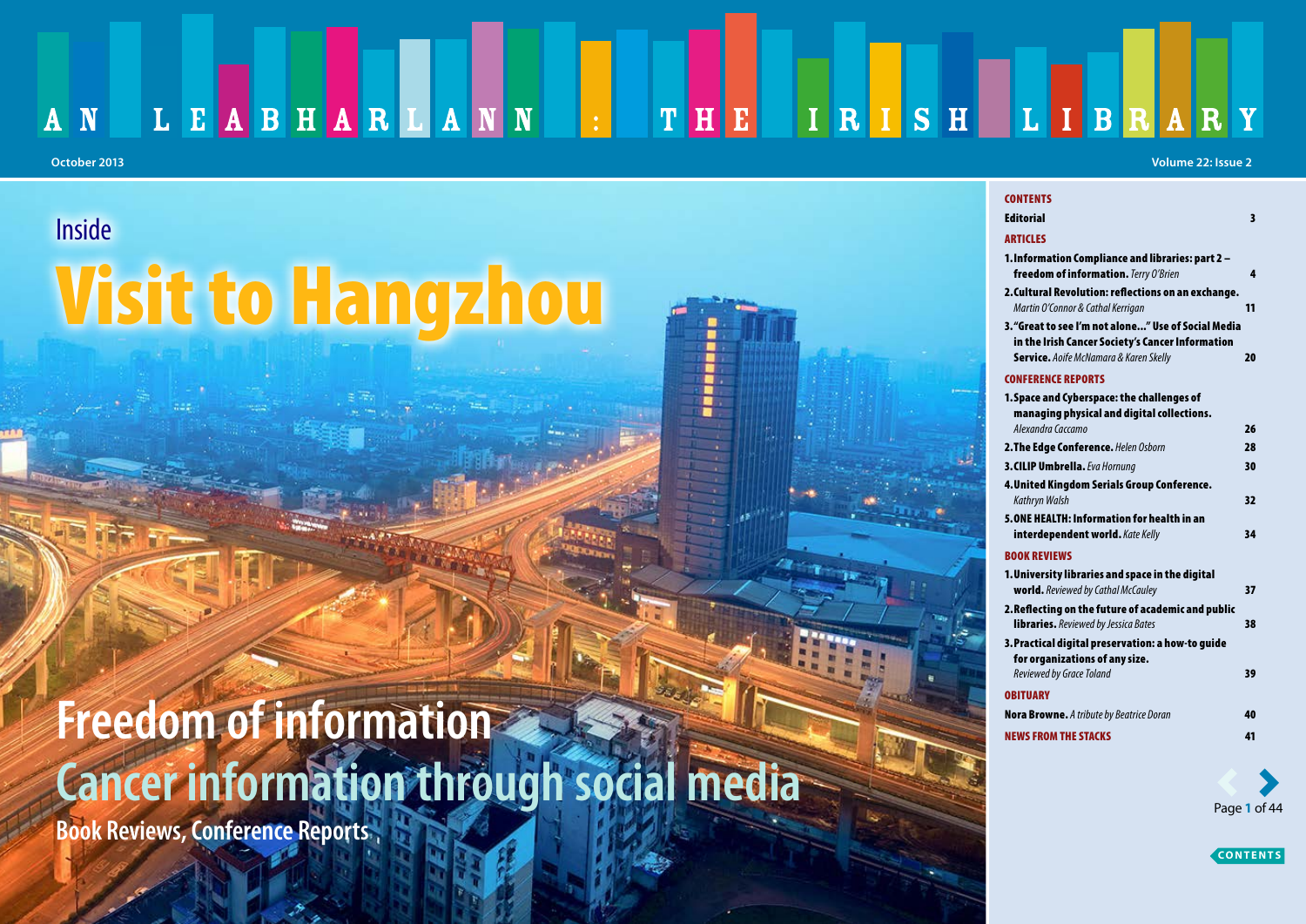### LEABHARLANN . THE IRISH LIBRARY  $A \mid N$

### **Inside**

# Visit to Hangzhou

# **Freedom of information Cancer information through social media**

**Book Reviews, Conference Reports**

#### **October 2013 Volume 22: Issue 2**

| <b>CONTENTS</b>                                                                                   |    |
|---------------------------------------------------------------------------------------------------|----|
| <b>Editorial</b>                                                                                  | 3  |
| <b>ARTICLES</b>                                                                                   |    |
| 1. Information Compliance and libraries: part 2 -<br>freedom of information. Terry O'Brien        | 4  |
| 2.Cultural Revolution: reflections on an exchange.<br>Martin O'Connor & Cathal Kerrigan           | 11 |
| 3."Great to see I'm not alone" Use of Social Media                                                |    |
| in the Irish Cancer Society's Cancer Information<br><b>Service.</b> Aoife McNamara & Karen Skelly | 20 |
| <b>CONFERENCE REPORTS</b>                                                                         |    |
| 1. Space and Cyberspace: the challenges of<br>managing physical and digital collections.          |    |
| Alexandra Caccamo                                                                                 | 26 |
| 2. The Edge Conference. Helen Osborn                                                              | 28 |
| 3. CILIP Umbrella. Eva Hornung                                                                    | 30 |
| 4. United Kingdom Serials Group Conference.<br>Kathryn Walsh                                      | 32 |
| 5.ONE HEALTH: Information for health in an<br>interdependent world. Kate Kelly                    | 34 |
| <b>BOOK REVIEWS</b>                                                                               |    |
| 1. University libraries and space in the digital<br>world. Reviewed by Cathal McCauley            | 37 |
| 2.Reflecting on the future of academic and public<br>libraries. Reviewed by Jessica Bates         | 38 |
| 3. Practical digital preservation: a how-to quide<br>for organizations of any size.               |    |
| Reviewed by Grace Toland                                                                          | 39 |
| <b>OBITUARY</b>                                                                                   |    |
| Nora Browne. A tribute by Beatrice Doran                                                          | 40 |
| <b>NEWS FROM THE STACKS</b>                                                                       | 41 |
|                                                                                                   |    |
|                                                                                                   |    |



**CONTENTS**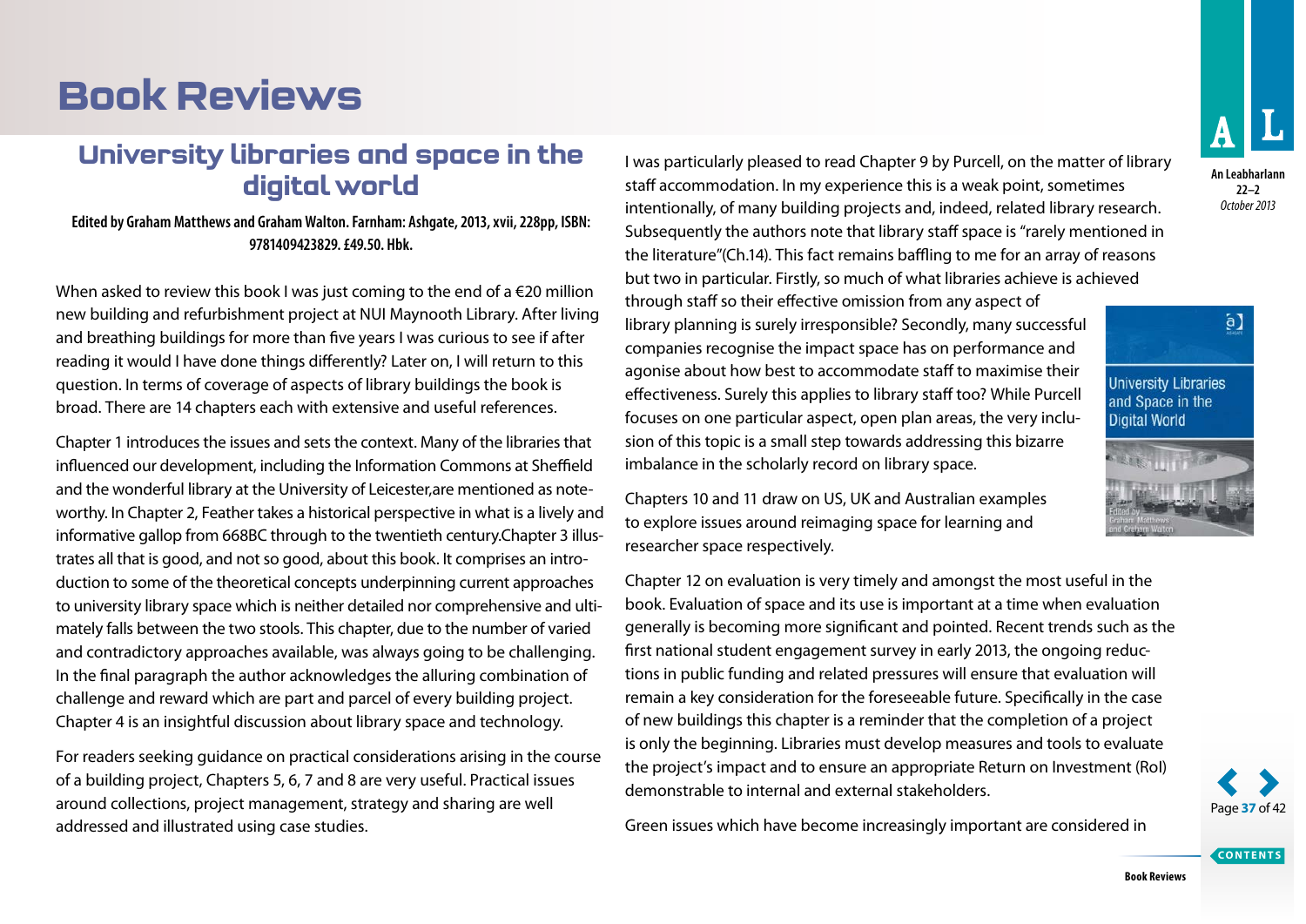## <span id="page-1-0"></span>**Book Reviews**

### **University libraries and space in the digital world**

#### **Edited by Graham Matthews and Graham Walton. Farnham: Ashgate, 2013, xvii, 228pp, ISBN: 9781409423829. £49.50. Hbk.**

When asked to review this book I was just coming to the end of a  $\epsilon$ 20 million new building and refurbishment project at NUI Maynooth Library. After living and breathing buildings for more than five years I was curious to see if after reading it would I have done things differently? Later on, I will return to this question. In terms of coverage of aspects of library buildings the book is broad. There are 14 chapters each with extensive and useful references.

Chapter 1 introduces the issues and sets the context. Many of the libraries that influenced our development, including the Information Commons at Sheffield and the wonderful library at the University of Leicester,are mentioned as noteworthy. In Chapter 2, Feather takes a historical perspective in what is a lively and informative gallop from 668BC through to the twentieth century.Chapter 3 illustrates all that is good, and not so good, about this book. It comprises an introduction to some of the theoretical concepts underpinning current approaches to university library space which is neither detailed nor comprehensive and ultimately falls between the two stools. This chapter, due to the number of varied and contradictory approaches available, was always going to be challenging. In the final paragraph the author acknowledges the alluring combination of challenge and reward which are part and parcel of every building project. Chapter 4 is an insightful discussion about library space and technology.

For readers seeking guidance on practical considerations arising in the course of a building project, Chapters 5, 6, 7 and 8 are very useful. Practical issues around collections, project management, strategy and sharing are well addressed and illustrated using case studies.

I was particularly pleased to read Chapter 9 by Purcell, on the matter of library staff accommodation. In my experience this is a weak point, sometimes intentionally, of many building projects and, indeed, related library research. Subsequently the authors note that library staff space is "rarely mentioned in the literature"(Ch.14). This fact remains baffling to me for an array of reasons but two in particular. Firstly, so much of what libraries achieve is achieved

through staff so their effective omission from any aspect of library planning is surely irresponsible? Secondly, many successful companies recognise the impact space has on performance and agonise about how best to accommodate staff to maximise their effectiveness. Surely this applies to library staff too? While Purcell focuses on one particular aspect, open plan areas, the very inclusion of this topic is a small step towards addressing this bizarre imbalance in the scholarly record on library space.

Chapters 10 and 11 draw on US, UK and Australian examples to explore issues around reimaging space for learning and researcher space respectively.

Chapter 12 on evaluation is very timely and amongst the most useful in the book. Evaluation of space and its use is important at a time when evaluation generally is becoming more significant and pointed. Recent trends such as the first national student engagement survey in early 2013, the ongoing reductions in public funding and related pressures will ensure that evaluation will remain a key consideration for the foreseeable future. Specifically in the case of new buildings this chapter is a reminder that the completion of a project is only the beginning. Libraries must develop measures and tools to evaluate the project's impact and to ensure an appropriate Return on Investment (RoI) demonstrable to internal and external stakeholders.

Green issues which have become increasingly important are considered in



**An Leabharlann 22–2** *October 2013*





**CONTENTS**